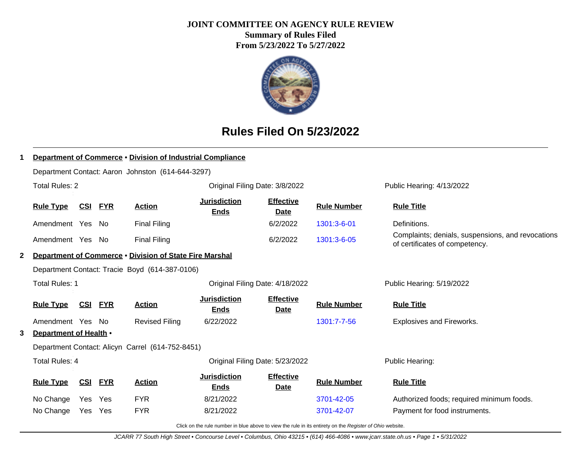## **JOINT COMMITTEE ON AGENCY RULE REVIEW**

**Summary of Rules Filed From 5/23/2022 To 5/27/2022**



# **Rules Filed On 5/23/2022**

|   | <b>Department of Commerce . Division of Industrial Compliance</b> |            |            |                                                         |                                    |                                 |                    |                                                                                     |  |  |  |
|---|-------------------------------------------------------------------|------------|------------|---------------------------------------------------------|------------------------------------|---------------------------------|--------------------|-------------------------------------------------------------------------------------|--|--|--|
|   | Department Contact: Aaron Johnston (614-644-3297)                 |            |            |                                                         |                                    |                                 |                    |                                                                                     |  |  |  |
|   | <b>Total Rules: 2</b>                                             |            |            |                                                         | Original Filing Date: 3/8/2022     |                                 |                    | Public Hearing: 4/13/2022                                                           |  |  |  |
|   | <b>Rule Type</b>                                                  | <u>CSI</u> | <b>FYR</b> | <b>Action</b>                                           | <b>Jurisdiction</b><br><b>Ends</b> | <b>Effective</b><br><b>Date</b> | <b>Rule Number</b> | <b>Rule Title</b>                                                                   |  |  |  |
|   | Amendment Yes No                                                  |            |            | <b>Final Filing</b>                                     |                                    | 6/2/2022                        | 1301:3-6-01        | Definitions.                                                                        |  |  |  |
|   | Amendment Yes No                                                  |            |            | <b>Final Filing</b>                                     |                                    | 6/2/2022                        | 1301:3-6-05        | Complaints; denials, suspensions, and revocations<br>of certificates of competency. |  |  |  |
| 2 |                                                                   |            |            | Department of Commerce . Division of State Fire Marshal |                                    |                                 |                    |                                                                                     |  |  |  |
|   |                                                                   |            |            | Department Contact: Tracie Boyd (614-387-0106)          |                                    |                                 |                    |                                                                                     |  |  |  |
|   | <b>Total Rules: 1</b>                                             |            |            |                                                         | Original Filing Date: 4/18/2022    |                                 |                    | Public Hearing: 5/19/2022                                                           |  |  |  |
|   | <b>Rule Type</b>                                                  | <u>CSI</u> | <b>FYR</b> | <b>Action</b>                                           | <b>Jurisdiction</b><br><b>Ends</b> | <b>Effective</b><br>Date        | <b>Rule Number</b> | <b>Rule Title</b>                                                                   |  |  |  |
|   | Amendment Yes No                                                  |            |            | <b>Revised Filing</b>                                   | 6/22/2022                          |                                 | 1301:7-7-56        | <b>Explosives and Fireworks.</b>                                                    |  |  |  |
| 3 | Department of Health .                                            |            |            |                                                         |                                    |                                 |                    |                                                                                     |  |  |  |
|   |                                                                   |            |            | Department Contact: Alicyn Carrel (614-752-8451)        |                                    |                                 |                    |                                                                                     |  |  |  |
|   | <b>Total Rules: 4</b>                                             |            |            |                                                         |                                    | Original Filing Date: 5/23/2022 |                    | Public Hearing:                                                                     |  |  |  |
|   | <b>Rule Type</b>                                                  | <u>CSI</u> | <b>FYR</b> | <b>Action</b>                                           | <b>Jurisdiction</b><br><b>Ends</b> | <b>Effective</b><br><b>Date</b> | <b>Rule Number</b> | <b>Rule Title</b>                                                                   |  |  |  |
|   | No Change                                                         | Yes        | Yes        | <b>FYR</b>                                              | 8/21/2022                          |                                 | 3701-42-05         | Authorized foods; required minimum foods.                                           |  |  |  |
|   | No Change                                                         | <b>Yes</b> | <b>Yes</b> | <b>FYR</b>                                              | 8/21/2022                          |                                 | 3701-42-07         | Payment for food instruments.                                                       |  |  |  |
|   |                                                                   |            |            |                                                         |                                    |                                 |                    |                                                                                     |  |  |  |

Click on the rule number in blue above to view the rule in its entirety on the Register of Ohio website.

JCARR 77 South High Street • Concourse Level • Columbus, Ohio 43215 • (614) 466-4086 • www.jcarr.state.oh.us • Page 1 • 5/31/2022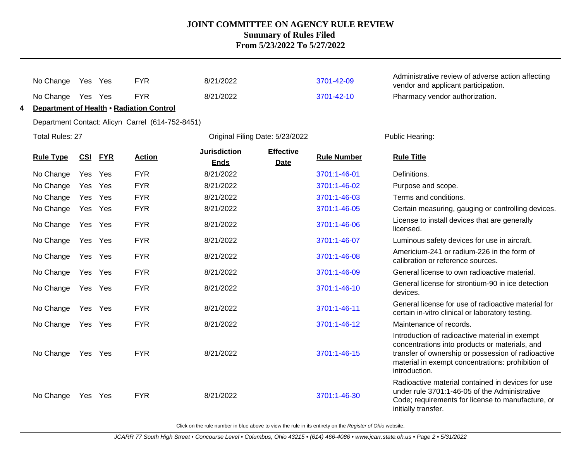|   | No Change                                        | Yes Yes |            | <b>FYR</b>                               | 8/21/2022                          |                                 | 3701-42-09         | Administrative review of adverse action affecting<br>vendor and applicant participation.                                                                                                                                     |  |  |  |  |  |
|---|--------------------------------------------------|---------|------------|------------------------------------------|------------------------------------|---------------------------------|--------------------|------------------------------------------------------------------------------------------------------------------------------------------------------------------------------------------------------------------------------|--|--|--|--|--|
|   | No Change                                        | Yes Yes |            | <b>FYR</b>                               | 8/21/2022                          |                                 | 3701-42-10         | Pharmacy vendor authorization.                                                                                                                                                                                               |  |  |  |  |  |
| 4 |                                                  |         |            | Department of Health • Radiation Control |                                    |                                 |                    |                                                                                                                                                                                                                              |  |  |  |  |  |
|   | Department Contact: Alicyn Carrel (614-752-8451) |         |            |                                          |                                    |                                 |                    |                                                                                                                                                                                                                              |  |  |  |  |  |
|   | Total Rules: 27                                  |         |            |                                          | Original Filing Date: 5/23/2022    |                                 |                    | Public Hearing:                                                                                                                                                                                                              |  |  |  |  |  |
|   | <b>Rule Type</b>                                 | CSI     | <b>FYR</b> | <b>Action</b>                            | <b>Jurisdiction</b><br><b>Ends</b> | <b>Effective</b><br><b>Date</b> | <b>Rule Number</b> | <b>Rule Title</b>                                                                                                                                                                                                            |  |  |  |  |  |
|   | No Change                                        | Yes     | Yes        | <b>FYR</b>                               | 8/21/2022                          |                                 | 3701:1-46-01       | Definitions.                                                                                                                                                                                                                 |  |  |  |  |  |
|   | No Change                                        | Yes Yes |            | <b>FYR</b>                               | 8/21/2022                          |                                 | 3701:1-46-02       | Purpose and scope.                                                                                                                                                                                                           |  |  |  |  |  |
|   | No Change                                        | Yes Yes |            | <b>FYR</b>                               | 8/21/2022                          |                                 | 3701:1-46-03       | Terms and conditions.                                                                                                                                                                                                        |  |  |  |  |  |
|   | No Change                                        | Yes Yes |            | <b>FYR</b>                               | 8/21/2022                          |                                 | 3701:1-46-05       | Certain measuring, gauging or controlling devices.                                                                                                                                                                           |  |  |  |  |  |
|   | No Change                                        | Yes Yes |            | <b>FYR</b>                               | 8/21/2022                          |                                 | 3701:1-46-06       | License to install devices that are generally<br>licensed.                                                                                                                                                                   |  |  |  |  |  |
|   | No Change                                        | Yes Yes |            | <b>FYR</b>                               | 8/21/2022                          |                                 | 3701:1-46-07       | Luminous safety devices for use in aircraft.                                                                                                                                                                                 |  |  |  |  |  |
|   | No Change                                        | Yes Yes |            | <b>FYR</b>                               | 8/21/2022                          |                                 | 3701:1-46-08       | Americium-241 or radium-226 in the form of<br>calibration or reference sources.                                                                                                                                              |  |  |  |  |  |
|   | No Change                                        | Yes Yes |            | <b>FYR</b>                               | 8/21/2022                          |                                 | 3701:1-46-09       | General license to own radioactive material.                                                                                                                                                                                 |  |  |  |  |  |
|   | No Change                                        | Yes Yes |            | <b>FYR</b>                               | 8/21/2022                          |                                 | 3701:1-46-10       | General license for strontium-90 in ice detection<br>devices.                                                                                                                                                                |  |  |  |  |  |
|   | No Change                                        | Yes Yes |            | <b>FYR</b>                               | 8/21/2022                          |                                 | 3701:1-46-11       | General license for use of radioactive material for<br>certain in-vitro clinical or laboratory testing.                                                                                                                      |  |  |  |  |  |
|   | No Change                                        | Yes Yes |            | <b>FYR</b>                               | 8/21/2022                          |                                 | 3701:1-46-12       | Maintenance of records.                                                                                                                                                                                                      |  |  |  |  |  |
|   | No Change                                        | Yes Yes |            | <b>FYR</b>                               | 8/21/2022                          |                                 | 3701:1-46-15       | Introduction of radioactive material in exempt<br>concentrations into products or materials, and<br>transfer of ownership or possession of radioactive<br>material in exempt concentrations: prohibition of<br>introduction. |  |  |  |  |  |
|   | No Change                                        | Yes Yes |            | <b>FYR</b>                               | 8/21/2022                          |                                 | 3701:1-46-30       | Radioactive material contained in devices for use<br>under rule 3701:1-46-05 of the Administrative<br>Code; requirements for license to manufacture, or<br>initially transfer.                                               |  |  |  |  |  |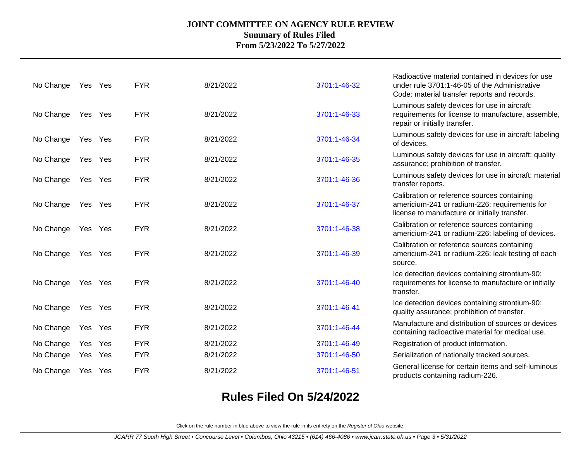| No Change | Yes Yes |     | <b>FYR</b> | 8/21/2022 | 3701:1-46-32 | Radioactive material contained in devices for use<br>under rule 3701:1-46-05 of the Administrative<br>Code: material transfer reports and records. |
|-----------|---------|-----|------------|-----------|--------------|----------------------------------------------------------------------------------------------------------------------------------------------------|
| No Change | Yes Yes |     | <b>FYR</b> | 8/21/2022 | 3701:1-46-33 | Luminous safety devices for use in aircraft:<br>requirements for license to manufacture, assemble,<br>repair or initially transfer.                |
| No Change | Yes Yes |     | <b>FYR</b> | 8/21/2022 | 3701:1-46-34 | Luminous safety devices for use in aircraft: labeling<br>of devices.                                                                               |
| No Change | Yes Yes |     | <b>FYR</b> | 8/21/2022 | 3701:1-46-35 | Luminous safety devices for use in aircraft: quality<br>assurance; prohibition of transfer.                                                        |
| No Change | Yes Yes |     | <b>FYR</b> | 8/21/2022 | 3701:1-46-36 | Luminous safety devices for use in aircraft: material<br>transfer reports.                                                                         |
| No Change | Yes Yes |     | <b>FYR</b> | 8/21/2022 | 3701:1-46-37 | Calibration or reference sources containing<br>americium-241 or radium-226: requirements for<br>license to manufacture or initially transfer.      |
| No Change | Yes Yes |     | <b>FYR</b> | 8/21/2022 | 3701:1-46-38 | Calibration or reference sources containing<br>americium-241 or radium-226: labeling of devices.                                                   |
| No Change | Yes Yes |     | <b>FYR</b> | 8/21/2022 | 3701:1-46-39 | Calibration or reference sources containing<br>americium-241 or radium-226: leak testing of each<br>source.                                        |
| No Change | Yes Yes |     | <b>FYR</b> | 8/21/2022 | 3701:1-46-40 | Ice detection devices containing strontium-90;<br>requirements for license to manufacture or initially<br>transfer.                                |
| No Change | Yes Yes |     | <b>FYR</b> | 8/21/2022 | 3701:1-46-41 | Ice detection devices containing strontium-90:<br>quality assurance; prohibition of transfer.                                                      |
| No Change | Yes Yes |     | <b>FYR</b> | 8/21/2022 | 3701:1-46-44 | Manufacture and distribution of sources or devices<br>containing radioactive material for medical use.                                             |
| No Change | Yes     | Yes | <b>FYR</b> | 8/21/2022 | 3701:1-46-49 | Registration of product information.                                                                                                               |
| No Change | Yes Yes |     | <b>FYR</b> | 8/21/2022 | 3701:1-46-50 | Serialization of nationally tracked sources.                                                                                                       |
| No Change | Yes Yes |     | <b>FYR</b> | 8/21/2022 | 3701:1-46-51 | General license for certain items and self-luminous<br>products containing radium-226.                                                             |

## **Rules Filed On 5/24/2022**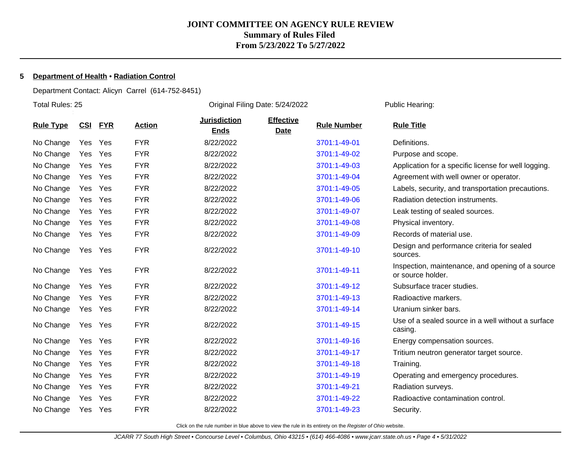#### **5 Department of Health** • **Radiation Control**

Department Contact: Alicyn Carrel (614-752-8451)

Total Rules: 25 Original Filing Date: 5/24/2022 Public Hearing: **Rule Type CSI FYR Action Jurisdiction Ends Effective Date Rule Number Rule Title** No Change Yes Yes FYR 8/22/2022 [3701:1-49-01](http://www.registerofohio.state.oh.us/jsps/publicdisplayrules/processPublicDisplayRules.jsp?entered_rule_no=3701:1-49-01&doWhat=GETBYRULENUM&raID=0) Definitions. No Change Yes Yes FYR 8/22/2022 [3701:1-49-02](http://www.registerofohio.state.oh.us/jsps/publicdisplayrules/processPublicDisplayRules.jsp?entered_rule_no=3701:1-49-02&doWhat=GETBYRULENUM&raID=0) Purpose and scope. No Change Yes Yes FYR 8/22/2022 [3701:1-49-03](http://www.registerofohio.state.oh.us/jsps/publicdisplayrules/processPublicDisplayRules.jsp?entered_rule_no=3701:1-49-03&doWhat=GETBYRULENUM&raID=0) Application for a specific license for well logging. No Change Yes Yes FYR 8/22/2022 [3701:1-49-04](http://www.registerofohio.state.oh.us/jsps/publicdisplayrules/processPublicDisplayRules.jsp?entered_rule_no=3701:1-49-04&doWhat=GETBYRULENUM&raID=0) Agreement with well owner or operator. No Change Yes Yes FYR 8/22/2022 [3701:1-49-05](http://www.registerofohio.state.oh.us/jsps/publicdisplayrules/processPublicDisplayRules.jsp?entered_rule_no=3701:1-49-05&doWhat=GETBYRULENUM&raID=0) Labels, security, and transportation precautions. No Change Yes Yes FYR 8/22/2022 [3701:1-49-06](http://www.registerofohio.state.oh.us/jsps/publicdisplayrules/processPublicDisplayRules.jsp?entered_rule_no=3701:1-49-06&doWhat=GETBYRULENUM&raID=0) Radiation detection instruments. No Change Yes Yes FYR 8/22/2022 [3701:1-49-07](http://www.registerofohio.state.oh.us/jsps/publicdisplayrules/processPublicDisplayRules.jsp?entered_rule_no=3701:1-49-07&doWhat=GETBYRULENUM&raID=0) Leak testing of sealed sources. No Change Yes Yes FYR 8/22/2022 [3701:1-49-08](http://www.registerofohio.state.oh.us/jsps/publicdisplayrules/processPublicDisplayRules.jsp?entered_rule_no=3701:1-49-08&doWhat=GETBYRULENUM&raID=0) Physical inventory. No Change Yes Yes FYR 8/22/2022 [3701:1-49-09](http://www.registerofohio.state.oh.us/jsps/publicdisplayrules/processPublicDisplayRules.jsp?entered_rule_no=3701:1-49-09&doWhat=GETBYRULENUM&raID=0) Records of material use. No Change Yes Yes FYR 8/22/2022 [3701:1-49-10](http://www.registerofohio.state.oh.us/jsps/publicdisplayrules/processPublicDisplayRules.jsp?entered_rule_no=3701:1-49-10&doWhat=GETBYRULENUM&raID=0) Design and performance criteria for sealed sources. No Change Yes Yes FYR 8/22/2022 [3701:1-49-11](http://www.registerofohio.state.oh.us/jsps/publicdisplayrules/processPublicDisplayRules.jsp?entered_rule_no=3701:1-49-11&doWhat=GETBYRULENUM&raID=0) Inspection, maintenance, and opening of a source or source holder. No Change Yes Yes FYR 8/22/2022 [3701:1-49-12](http://www.registerofohio.state.oh.us/jsps/publicdisplayrules/processPublicDisplayRules.jsp?entered_rule_no=3701:1-49-12&doWhat=GETBYRULENUM&raID=0) Subsurface tracer studies. No Change Yes Yes FYR 8/22/2022 [3701:1-49-13](http://www.registerofohio.state.oh.us/jsps/publicdisplayrules/processPublicDisplayRules.jsp?entered_rule_no=3701:1-49-13&doWhat=GETBYRULENUM&raID=0) Radioactive markers. No Change Yes Yes FYR 8/22/2022 [3701:1-49-14](http://www.registerofohio.state.oh.us/jsps/publicdisplayrules/processPublicDisplayRules.jsp?entered_rule_no=3701:1-49-14&doWhat=GETBYRULENUM&raID=0) Uranium sinker bars. No Change Yes Yes FYR 8/22/2022 [3701:1-49-15](http://www.registerofohio.state.oh.us/jsps/publicdisplayrules/processPublicDisplayRules.jsp?entered_rule_no=3701:1-49-15&doWhat=GETBYRULENUM&raID=0) Use of a sealed source in a well without a surface casing. No Change Yes Yes FYR 8/22/2022 [3701:1-49-16](http://www.registerofohio.state.oh.us/jsps/publicdisplayrules/processPublicDisplayRules.jsp?entered_rule_no=3701:1-49-16&doWhat=GETBYRULENUM&raID=0) Energy compensation sources. No Change Yes Yes FYR 8/22/2022 [3701:1-49-17](http://www.registerofohio.state.oh.us/jsps/publicdisplayrules/processPublicDisplayRules.jsp?entered_rule_no=3701:1-49-17&doWhat=GETBYRULENUM&raID=0) Tritium neutron generator target source. No Change Yes Yes FYR 8/22/2022 [3701:1-49-18](http://www.registerofohio.state.oh.us/jsps/publicdisplayrules/processPublicDisplayRules.jsp?entered_rule_no=3701:1-49-18&doWhat=GETBYRULENUM&raID=0) Training. No Change Yes Yes FYR 8/22/2022 [3701:1-49-19](http://www.registerofohio.state.oh.us/jsps/publicdisplayrules/processPublicDisplayRules.jsp?entered_rule_no=3701:1-49-19&doWhat=GETBYRULENUM&raID=0) Operating and emergency procedures. No Change Yes Yes FYR 8/22/2022 [3701:1-49-21](http://www.registerofohio.state.oh.us/jsps/publicdisplayrules/processPublicDisplayRules.jsp?entered_rule_no=3701:1-49-21&doWhat=GETBYRULENUM&raID=0) Radiation surveys. No Change Yes Yes FYR 8/22/2022 [3701:1-49-22](http://www.registerofohio.state.oh.us/jsps/publicdisplayrules/processPublicDisplayRules.jsp?entered_rule_no=3701:1-49-22&doWhat=GETBYRULENUM&raID=0) Radioactive contamination control. No Change Yes Yes FYR 8/22/2022 [3701:1-49-23](http://www.registerofohio.state.oh.us/jsps/publicdisplayrules/processPublicDisplayRules.jsp?entered_rule_no=3701:1-49-23&doWhat=GETBYRULENUM&raID=0) Security.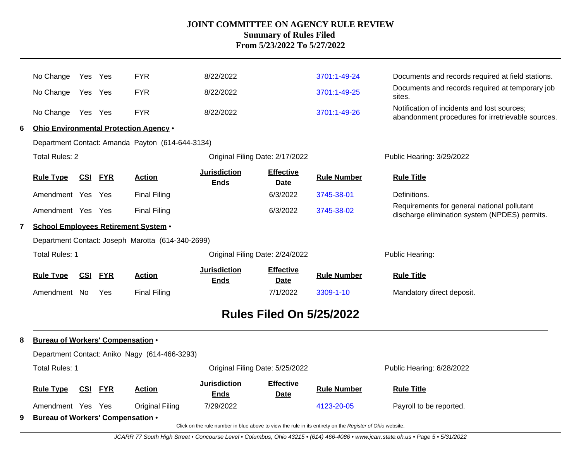|                                                                                                          | No Change                                | Yes Yes                                                  |                | <b>FYR</b>                                       | 8/22/2022                          |                                 | 3701:1-49-24       | Documents and records required at field stations.                                                |  |  |  |  |  |
|----------------------------------------------------------------------------------------------------------|------------------------------------------|----------------------------------------------------------|----------------|--------------------------------------------------|------------------------------------|---------------------------------|--------------------|--------------------------------------------------------------------------------------------------|--|--|--|--|--|
|                                                                                                          | No Change                                | Yes Yes                                                  |                | <b>FYR</b>                                       | 8/22/2022                          |                                 | 3701:1-49-25       | Documents and records required at temporary job<br>sites.                                        |  |  |  |  |  |
|                                                                                                          | No Change                                | Yes Yes                                                  |                | <b>FYR</b>                                       | 8/22/2022                          |                                 | 3701:1-49-26       | Notification of incidents and lost sources;<br>abandonment procedures for irretrievable sources. |  |  |  |  |  |
| 6                                                                                                        |                                          |                                                          |                | Ohio Environmental Protection Agency .           |                                    |                                 |                    |                                                                                                  |  |  |  |  |  |
|                                                                                                          |                                          |                                                          |                | Department Contact: Amanda Payton (614-644-3134) |                                    |                                 |                    |                                                                                                  |  |  |  |  |  |
|                                                                                                          | <b>Total Rules: 2</b>                    |                                                          |                |                                                  | Original Filing Date: 2/17/2022    |                                 |                    | Public Hearing: 3/29/2022                                                                        |  |  |  |  |  |
|                                                                                                          | <b>Rule Type</b>                         | <u>CSI</u>                                               | <b>FYR</b>     | <b>Action</b>                                    | <b>Jurisdiction</b><br><b>Ends</b> | <b>Effective</b><br><b>Date</b> | <b>Rule Number</b> | <b>Rule Title</b>                                                                                |  |  |  |  |  |
|                                                                                                          | Amendment Yes Yes                        |                                                          |                | <b>Final Filing</b>                              |                                    | 6/3/2022                        | 3745-38-01         | Definitions.                                                                                     |  |  |  |  |  |
|                                                                                                          | Amendment Yes Yes                        |                                                          |                | <b>Final Filing</b>                              |                                    | 6/3/2022                        | 3745-38-02         | Requirements for general national pollutant<br>discharge elimination system (NPDES) permits.     |  |  |  |  |  |
| $\mathbf{7}$                                                                                             |                                          | <b>School Employees Retirement System .</b>              |                |                                                  |                                    |                                 |                    |                                                                                                  |  |  |  |  |  |
| Department Contact: Joseph Marotta (614-340-2699)                                                        |                                          |                                                          |                |                                                  |                                    |                                 |                    |                                                                                                  |  |  |  |  |  |
|                                                                                                          | <b>Total Rules: 1</b>                    |                                                          |                |                                                  | Original Filing Date: 2/24/2022    |                                 |                    | Public Hearing:                                                                                  |  |  |  |  |  |
|                                                                                                          | <b>Rule Type</b>                         | <u>CSI</u>                                               | <b>FYR</b>     | <b>Action</b>                                    | <b>Jurisdiction</b><br><b>Ends</b> | <b>Effective</b><br><b>Date</b> | <b>Rule Number</b> | <b>Rule Title</b>                                                                                |  |  |  |  |  |
|                                                                                                          | Amendment No                             |                                                          | Yes            | <b>Final Filing</b>                              |                                    | 7/1/2022                        | 3309-1-10          | Mandatory direct deposit.                                                                        |  |  |  |  |  |
|                                                                                                          |                                          |                                                          |                |                                                  |                                    | <b>Rules Filed On 5/25/2022</b> |                    |                                                                                                  |  |  |  |  |  |
| 8                                                                                                        | <b>Bureau of Workers' Compensation .</b> |                                                          |                |                                                  |                                    |                                 |                    |                                                                                                  |  |  |  |  |  |
|                                                                                                          |                                          |                                                          |                | Department Contact: Aniko Nagy (614-466-3293)    |                                    |                                 |                    |                                                                                                  |  |  |  |  |  |
|                                                                                                          |                                          | <b>Total Rules: 1</b><br>Original Filing Date: 5/25/2022 |                |                                                  |                                    |                                 |                    | Public Hearing: 6/28/2022                                                                        |  |  |  |  |  |
|                                                                                                          | <b>Rule Type</b>                         |                                                          | <b>CSI FYR</b> | <b>Action</b>                                    | <b>Jurisdiction</b><br><b>Ends</b> | <b>Effective</b><br>Date        | <b>Rule Number</b> | <b>Rule Title</b>                                                                                |  |  |  |  |  |
|                                                                                                          | Amendment Yes Yes                        |                                                          |                | Original Filing                                  | 7/29/2022                          |                                 | 4123-20-05         | Payroll to be reported.                                                                          |  |  |  |  |  |
| 9                                                                                                        | <b>Bureau of Workers' Compensation •</b> |                                                          |                |                                                  |                                    |                                 |                    |                                                                                                  |  |  |  |  |  |
| Click on the rule number in blue above to view the rule in its entirety on the Register of Ohio website. |                                          |                                                          |                |                                                  |                                    |                                 |                    |                                                                                                  |  |  |  |  |  |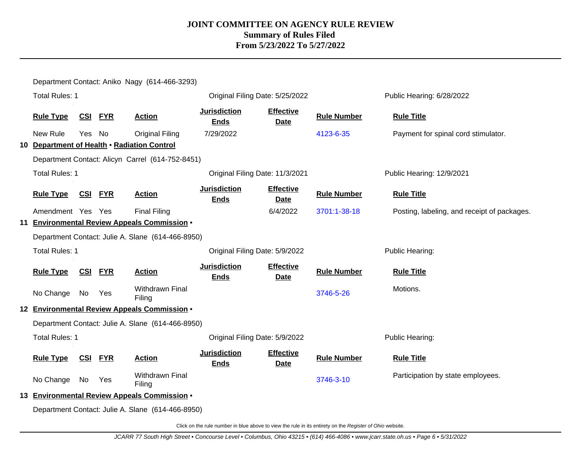| <b>Total Rules: 1</b><br>Public Hearing: 6/28/2022<br>Original Filing Date: 5/25/2022                                                                                             |                                             |
|-----------------------------------------------------------------------------------------------------------------------------------------------------------------------------------|---------------------------------------------|
|                                                                                                                                                                                   |                                             |
| <b>Jurisdiction</b><br><b>Effective</b><br>CSI FYR<br><b>Rule Type</b><br><b>Action</b><br><b>Rule Number</b><br><b>Rule Title</b><br><b>Ends</b><br><b>Date</b>                  |                                             |
| New Rule<br><b>Yes</b><br>No<br><b>Original Filing</b><br>7/29/2022<br>4123-6-35<br>Payment for spinal cord stimulator.                                                           |                                             |
| 10 Department of Health . Radiation Control                                                                                                                                       |                                             |
| Department Contact: Alicyn Carrel (614-752-8451)                                                                                                                                  |                                             |
| <b>Total Rules: 1</b><br>Original Filing Date: 11/3/2021<br>Public Hearing: 12/9/2021                                                                                             |                                             |
| <b>Jurisdiction</b><br><b>Effective</b><br>CSI FYR<br><b>Rule Number</b><br><b>Rule Type</b><br><b>Action</b><br><b>Rule Title</b><br><b>Ends</b><br><b>Date</b>                  |                                             |
| Amendment Yes Yes<br><b>Final Filing</b><br>6/4/2022<br>3701:1-38-18                                                                                                              | Posting, labeling, and receipt of packages. |
| 11 Environmental Review Appeals Commission .                                                                                                                                      |                                             |
| Department Contact: Julie A. Slane (614-466-8950)                                                                                                                                 |                                             |
| <b>Total Rules: 1</b><br>Original Filing Date: 5/9/2022<br>Public Hearing:                                                                                                        |                                             |
| <b>Jurisdiction</b><br><b>Effective</b><br><b>Rule Type</b><br><b>CSI</b><br><b>FYR</b><br><b>Action</b><br><b>Rule Number</b><br><b>Rule Title</b><br><b>Ends</b><br><b>Date</b> |                                             |
| Motions.<br>Withdrawn Final<br>3746-5-26<br>No Change<br>No<br>Yes<br>Filing                                                                                                      |                                             |
| 12 Environmental Review Appeals Commission .                                                                                                                                      |                                             |
| Department Contact: Julie A. Slane (614-466-8950)                                                                                                                                 |                                             |
| <b>Total Rules: 1</b><br>Public Hearing:<br>Original Filing Date: 5/9/2022                                                                                                        |                                             |
| <b>Jurisdiction</b><br><b>Effective</b><br><b>Rule Type</b><br><u>CSI FYR</u><br><b>Rule Number</b><br><b>Rule Title</b><br><b>Action</b><br><b>Ends</b><br><b>Date</b>           |                                             |
| <b>Withdrawn Final</b><br>Participation by state employees.<br>No Change<br>3746-3-10<br>No<br>Yes<br>Filing                                                                      |                                             |
| 13 Environmental Review Appeals Commission .                                                                                                                                      |                                             |
| Department Contact: Julie A. Slane (614-466-8950)                                                                                                                                 |                                             |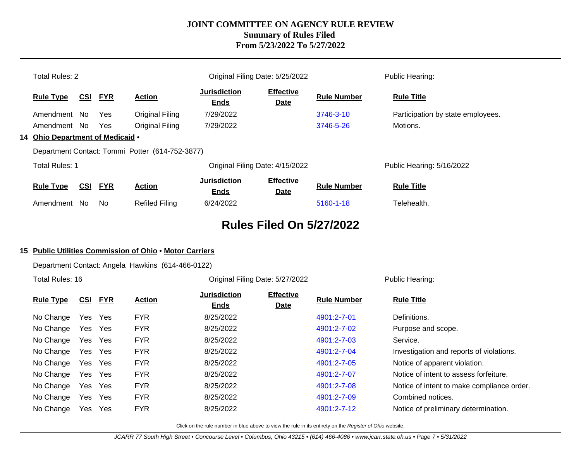|                                                 | <b>Total Rules: 2</b>            |            |            |                       | Original Filing Date: 5/25/2022    |                                 |                    | Public Hearing:                   |
|-------------------------------------------------|----------------------------------|------------|------------|-----------------------|------------------------------------|---------------------------------|--------------------|-----------------------------------|
|                                                 | <b>Rule Type</b>                 | <u>CSI</u> | <b>FYR</b> | <b>Action</b>         | <b>Jurisdiction</b><br><b>Ends</b> | <b>Effective</b><br><b>Date</b> | <b>Rule Number</b> | <b>Rule Title</b>                 |
|                                                 | Amendment No                     |            | Yes        | Original Filing       | 7/29/2022                          |                                 | 3746-3-10          | Participation by state employees. |
|                                                 | Amendment No                     |            | Yes        | Original Filing       | 7/29/2022                          |                                 | 3746-5-26          | Motions.                          |
|                                                 | 14 Ohio Department of Medicaid . |            |            |                       |                                    |                                 |                    |                                   |
| Department Contact: Tommi Potter (614-752-3877) |                                  |            |            |                       |                                    |                                 |                    |                                   |
|                                                 | <b>Total Rules: 1</b>            |            |            |                       | Original Filing Date: 4/15/2022    |                                 |                    | Public Hearing: 5/16/2022         |
|                                                 | <b>Rule Type</b>                 | <u>CSI</u> | <b>FYR</b> | <b>Action</b>         | <b>Jurisdiction</b><br><b>Ends</b> | <b>Effective</b><br><u>Date</u> | <b>Rule Number</b> | <b>Rule Title</b>                 |
|                                                 | Amendment                        | No.        | No.        | <b>Refiled Filing</b> | 6/24/2022                          |                                 | 5160-1-18          | Telehealth.                       |

## **Rules Filed On 5/27/2022**

#### **15 Public Utilities Commission of Ohio** • **Motor Carriers**

Department Contact: Angela Hawkins (614-466-0122)

Total Rules: 16

Original Filing Date: 5/27/2022 Public Hearing:

| <b>Rule Type</b> | <u>CSI</u> | <b>FYR</b> | <b>Action</b> | <b>Jurisdiction</b><br><b>Ends</b> | <b>Effective</b><br><b>Date</b> | <b>Rule Number</b> | <b>Rule Title</b>                          |
|------------------|------------|------------|---------------|------------------------------------|---------------------------------|--------------------|--------------------------------------------|
| No Change        |            | Yes Yes    | <b>FYR</b>    | 8/25/2022                          |                                 | 4901:2-7-01        | Definitions.                               |
| No Change        |            | Yes Yes    | <b>FYR</b>    | 8/25/2022                          |                                 | 4901:2-7-02        | Purpose and scope.                         |
| No Change        |            | Yes Yes    | <b>FYR</b>    | 8/25/2022                          |                                 | 4901:2-7-03        | Service.                                   |
| No Change        | Yes        | Yes        | <b>FYR</b>    | 8/25/2022                          |                                 | 4901:2-7-04        | Investigation and reports of violations.   |
| No Change        | Yes        | <b>Yes</b> | <b>FYR</b>    | 8/25/2022                          |                                 | 4901:2-7-05        | Notice of apparent violation.              |
| No Change        |            | Yes Yes    | <b>FYR</b>    | 8/25/2022                          |                                 | 4901:2-7-07        | Notice of intent to assess forfeiture.     |
| No Change        |            | Yes Yes    | <b>FYR</b>    | 8/25/2022                          |                                 | 4901:2-7-08        | Notice of intent to make compliance order. |
| No Change        | Yes        | <b>Yes</b> | <b>FYR</b>    | 8/25/2022                          |                                 | 4901:2-7-09        | Combined notices.                          |
| No Change        | Yes        | Yes        | <b>FYR</b>    | 8/25/2022                          |                                 | 4901:2-7-12        | Notice of preliminary determination.       |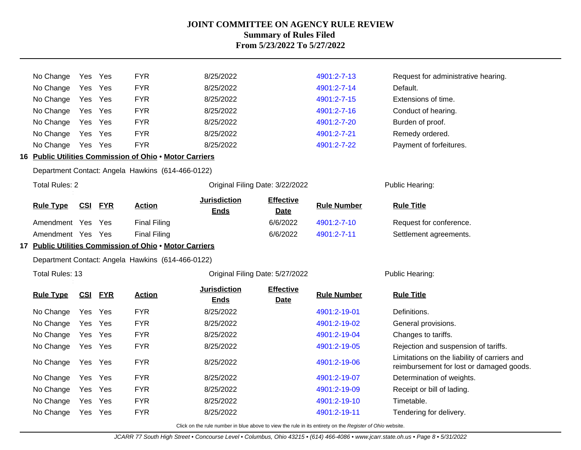| No Change              |            | Yes Yes    | <b>FYR</b>                                              | 8/25/2022                          |                                 | 4901:2-7-13        | Request for administrative hearing.                                                      |  |
|------------------------|------------|------------|---------------------------------------------------------|------------------------------------|---------------------------------|--------------------|------------------------------------------------------------------------------------------|--|
| No Change              | Yes        | Yes        | <b>FYR</b>                                              | 8/25/2022                          |                                 | 4901:2-7-14        | Default.                                                                                 |  |
| No Change              | Yes Yes    |            | <b>FYR</b>                                              | 8/25/2022                          |                                 | 4901:2-7-15        | Extensions of time.                                                                      |  |
| No Change              | Yes Yes    |            | <b>FYR</b>                                              | 8/25/2022                          |                                 | 4901:2-7-16        | Conduct of hearing.                                                                      |  |
| No Change              | Yes        | Yes        | <b>FYR</b>                                              | 8/25/2022                          |                                 | 4901:2-7-20        | Burden of proof.                                                                         |  |
| No Change              | Yes Yes    |            | <b>FYR</b>                                              | 8/25/2022                          |                                 | 4901:2-7-21        | Remedy ordered.                                                                          |  |
| No Change              | Yes Yes    |            | <b>FYR</b>                                              | 8/25/2022                          |                                 | 4901:2-7-22        | Payment of forfeitures.                                                                  |  |
|                        |            |            | 16 Public Utilities Commission of Ohio . Motor Carriers |                                    |                                 |                    |                                                                                          |  |
|                        |            |            | Department Contact: Angela Hawkins (614-466-0122)       |                                    |                                 |                    |                                                                                          |  |
| <b>Total Rules: 2</b>  |            |            |                                                         |                                    | Original Filing Date: 3/22/2022 |                    | Public Hearing:                                                                          |  |
| <b>Rule Type</b>       | <b>CSI</b> | <b>FYR</b> | <b>Action</b>                                           | <b>Jurisdiction</b><br><b>Ends</b> | <b>Effective</b><br><b>Date</b> | <b>Rule Number</b> | <b>Rule Title</b>                                                                        |  |
| Amendment Yes Yes      |            |            | <b>Final Filing</b>                                     |                                    | 6/6/2022                        | 4901:2-7-10        | Request for conference.                                                                  |  |
| Amendment Yes Yes      |            |            | <b>Final Filing</b>                                     |                                    | 6/6/2022                        | 4901:2-7-11        | Settlement agreements.                                                                   |  |
|                        |            |            | 17 Public Utilities Commission of Ohio . Motor Carriers |                                    |                                 |                    |                                                                                          |  |
|                        |            |            | Department Contact: Angela Hawkins (614-466-0122)       |                                    |                                 |                    |                                                                                          |  |
| <b>Total Rules: 13</b> |            |            |                                                         | Original Filing Date: 5/27/2022    |                                 |                    | Public Hearing:                                                                          |  |
| <b>Rule Type</b>       |            | CSI FYR    | <b>Action</b>                                           | <b>Jurisdiction</b><br><b>Ends</b> | <b>Effective</b><br><b>Date</b> | <b>Rule Number</b> | <b>Rule Title</b>                                                                        |  |
| No Change              | Yes Yes    |            | <b>FYR</b>                                              | 8/25/2022                          |                                 | 4901:2-19-01       | Definitions.                                                                             |  |
| No Change              | Yes Yes    |            | <b>FYR</b>                                              | 8/25/2022                          |                                 | 4901:2-19-02       | General provisions.                                                                      |  |
| No Change              | Yes Yes    |            | <b>FYR</b>                                              | 8/25/2022                          |                                 | 4901:2-19-04       | Changes to tariffs.                                                                      |  |
| No Change              | Yes Yes    |            | <b>FYR</b>                                              | 8/25/2022                          |                                 | 4901:2-19-05       | Rejection and suspension of tariffs.                                                     |  |
| No Change              | Yes Yes    |            | <b>FYR</b>                                              | 8/25/2022                          |                                 | 4901:2-19-06       | Limitations on the liability of carriers and<br>reimbursement for lost or damaged goods. |  |
| No Change              | Yes        | Yes        | <b>FYR</b>                                              | 8/25/2022                          |                                 | 4901:2-19-07       | Determination of weights.                                                                |  |
| No Change              | Yes Yes    |            | <b>FYR</b>                                              | 8/25/2022                          |                                 | 4901:2-19-09       | Receipt or bill of lading.                                                               |  |
| No Change              | Yes        | Yes        | <b>FYR</b>                                              | 8/25/2022                          |                                 | 4901:2-19-10       | Timetable.                                                                               |  |
| No Change              | Yes Yes    |            | <b>FYR</b>                                              | 8/25/2022                          |                                 | 4901:2-19-11       | Tendering for delivery.                                                                  |  |
|                        |            |            |                                                         |                                    |                                 |                    |                                                                                          |  |